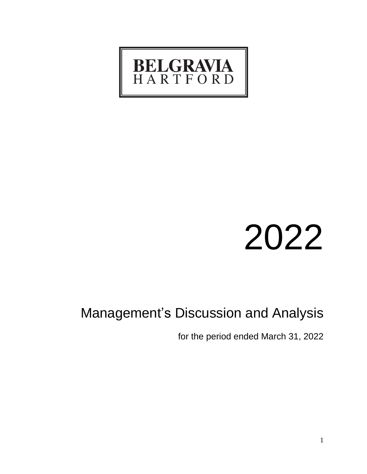

# 2022

# Management's Discussion and Analysis

for the period ended March 31, 2022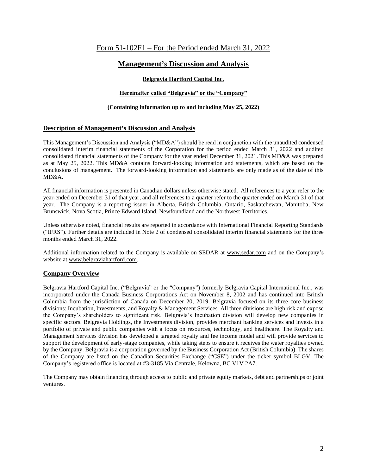# Form 51-102F1 – For the Period ended March 31, 2022

# **Management's Discussion and Analysis**

# **Belgravia Hartford Capital Inc.**

# **Hereinafter called "Belgravia" or the "Company"**

# **(Containing information up to and including May 25, 2022)**

# **Description of Management's Discussion and Analysis**

This Management's Discussion and Analysis ("MD&A") should be read in conjunction with the unaudited condensed consolidated interim financial statements of the Corporation for the period ended March 31, 2022 and audited consolidated financial statements of the Company for the year ended December 31, 2021. This MD&A was prepared as at May 25, 2022. This MD&A contains forward-looking information and statements, which are based on the conclusions of management. The forward-looking information and statements are only made as of the date of this MD&A.

All financial information is presented in Canadian dollars unless otherwise stated. All references to a year refer to the year-ended on December 31 of that year, and all references to a quarter refer to the quarter ended on March 31 of that year. The Company is a reporting issuer in Alberta, British Columbia, Ontario, Saskatchewan, Manitoba, New Brunswick, Nova Scotia, Prince Edward Island, Newfoundland and the Northwest Territories.

Unless otherwise noted, financial results are reported in accordance with International Financial Reporting Standards ("IFRS"). Further details are included in Note 2 of condensed consolidated interim financial statements for the three months ended March 31, 2022.

Additional information related to the Company is available on SEDAR at [www.sedar.com](http://www.sedar.com/) and on the Company's website at www.belgraviahartford.com.

# **Company Overview**

Belgravia Hartford Capital Inc. ("Belgravia" or the "Company") formerly Belgravia Capital International Inc., was incorporated under the Canada Business Corporations Act on November 8, 2002 and has continued into British Columbia from the jurisdiction of Canada on December 20, 2019. Belgravia focused on its three core business divisions: Incubation, Investments, and Royalty & Management Services. All three divisions are high risk and expose the Company's shareholders to significant risk. Belgravia's Incubation division will develop new companies in specific sectors. Belgravia Holdings, the Investments division, provides merchant banking services and invests in a portfolio of private and public companies with a focus on resources, technology, and healthcare. The Royalty and Management Services division has developed a targeted royalty and fee income model and will provide services to support the development of early-stage companies, while taking steps to ensure it receives the water royalties owned by the Company. Belgravia is a corporation governed by the Business Corporation Act (British Columbia). The shares of the Company are listed on the Canadian Securities Exchange ("CSE") under the ticker symbol BLGV. The Company's registered office is located at #3-3185 Via Centrale, Kelowna, BC V1V 2A7.

The Company may obtain financing through access to public and private equity markets, debt and partnerships or joint ventures.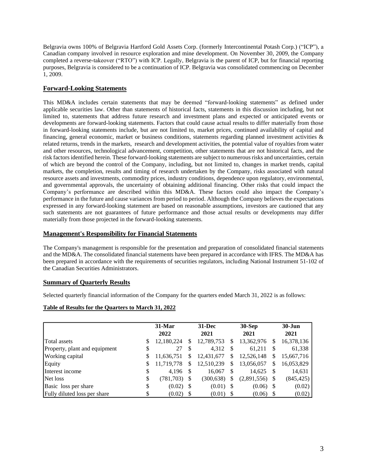Belgravia owns 100% of Belgravia Hartford Gold Assets Corp. (formerly Intercontinental Potash Corp.) ("ICP"), a Canadian company involved in resource exploration and mine development. On November 30, 2009, the Company completed a reverse-takeover ("RTO") with ICP. Legally, Belgravia is the parent of ICP, but for financial reporting purposes, Belgravia is considered to be a continuation of ICP. Belgravia was consolidated commencing on December 1, 2009.

# **Forward-Looking Statements**

This MD&A includes certain statements that may be deemed "forward-looking statements" as defined under applicable securities law. Other than statements of historical facts, statements in this discussion including, but not limited to, statements that address future research and investment plans and expected or anticipated events or developments are forward-looking statements. Factors that could cause actual results to differ materially from those in forward-looking statements include, but are not limited to, market prices, continued availability of capital and financing, general economic, market or business conditions, statements regarding planned investment activities  $\&$ related returns, trends in the markets, research and development activities, the potential value of royalties from water and other resources, technological advancement, competition, other statements that are not historical facts, and the risk factors identified herein. These forward-looking statements are subject to numerous risks and uncertainties, certain of which are beyond the control of the Company, including, but not limited to, changes in market trends, capital markets, the completion, results and timing of research undertaken by the Company, risks associated with natural resource assets and investments, commodity prices, industry conditions, dependence upon regulatory, environmental, and governmental approvals, the uncertainty of obtaining additional financing. Other risks that could impact the Company's performance are described within this MD&A. These factors could also impact the Company's performance in the future and cause variances from period to period. Although the Company believes the expectations expressed in any forward-looking statement are based on reasonable assumptions, investors are cautioned that any such statements are not guarantees of future performance and those actual results or developments may differ materially from those projected in the forward-looking statements.

# **Management's Responsibility for Financial Statements**

The Company's management is responsible for the presentation and preparation of consolidated financial statements and the MD&A. The consolidated financial statements have been prepared in accordance with IFRS. The MD&A has been prepared in accordance with the requirements of securities regulators, including National Instrument 51-102 of the Canadian Securities Administrators.

# **Summary of Quarterly Results**

Selected quarterly financial information of the Company for the quarters ended March 31, 2022 is as follows:

### **Table of Results for the Quarters to March 31, 2022**

|                               |    | $31-Mar$<br>2022 |   | $31 - Dec$<br>2021 |    | $30-Sep$<br>2021 |     | $30 - Jun$<br>2021 |
|-------------------------------|----|------------------|---|--------------------|----|------------------|-----|--------------------|
| Total assets                  | \$ | 12,180,224       | S | 12,789,753         | S  | 13,362,976       | S   | 16,378,136         |
| Property, plant and equipment | \$ | 27               | S | 4,312              | -S | 61,211           | S   | 61,338             |
| <b>Working capital</b>        | S  | 11,636,751       | S | 12,431,677         | S  | 12,526,148       | S   | 15,667,716         |
| Equity                        | \$ | 11,719,778       | S | 12,510,239         | \$ | 13,056,057       | S   | 16,053,829         |
| Interest income               | \$ | 4,196            |   | 16,067             | S  | 14,625           | \$  | 14,631             |
| Net loss                      | \$ | $(781,703)$ \$   |   | (300, 638)         | S  | (2,891,556)      |     | (845, 425)         |
| Basic loss per share          | \$ | $(0.02)$ \$      |   | $(0.01)$ \$        |    | (0.06)           | - S | (0.02)             |
| Fully diluted loss per share  | \$ | (0.02)           | S | (0.01)             |    | (0.06)           |     | (0.02)             |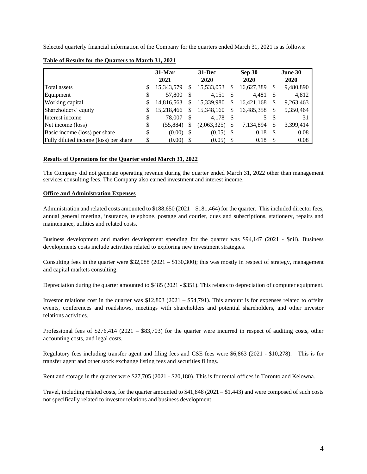Selected quarterly financial information of the Company for the quarters ended March 31, 2021 is as follows:

|                                       |    | $31-Mar$<br>2021 |    | $31 - Dec$<br>2020 |      | <b>Sep 30</b><br>2020 |               | June 30<br>2020 |
|---------------------------------------|----|------------------|----|--------------------|------|-----------------------|---------------|-----------------|
|                                       |    |                  |    |                    |      |                       |               |                 |
| Total assets                          | S  | 15,343,579       | S  | 15,533,053         | S    | 16,627,389            | S             | 9,480,890       |
| Equipment                             | \$ | 57,800           |    | 4,151              |      | 4,481                 | \$            | 4,812           |
| <b>Working capital</b>                | \$ | 14,816,563       | S  | 15,339,980         | S    | 16,421,168            | S             | 9,263,463       |
| Shareholders' equity                  | \$ | 15,218,466       | \$ | 15,348,160         | S    | 16,485,358            | \$            | 9,350,464       |
| Interest income                       | \$ | 78,007           | \$ | 4,178              | - \$ | 5                     | <sup>\$</sup> | 31              |
| Net income (loss)                     | \$ | (55,884)         | S  | (2,063,325)        |      | 7,134,894             | S             | 3,399,414       |
| Basic income (loss) per share         | \$ | $(0.00)$ \$      |    | (0.05)             | - \$ | 0.18                  | S             | 0.08            |
| Fully diluted income (loss) per share | \$ | (0.00)           |    | (0.05)             |      | 0.18                  |               | 0.08            |

#### **Table of Results for the Quarters to March 31, 2021**

### **Results of Operations for the Quarter ended March 31, 2022**

The Company did not generate operating revenue during the quarter ended March 31, 2022 other than management services consulting fees. The Company also earned investment and interest income.

#### **Office and Administration Expenses**

Administration and related costs amounted to \$188,650 (2021 – \$181,464) for the quarter. This included director fees, annual general meeting, insurance, telephone, postage and courier, dues and subscriptions, stationery, repairs and maintenance, utilities and related costs.

Business development and market development spending for the quarter was \$94,147 (2021 - \$nil). Business developments costs include activities related to exploring new investment strategies.

Consulting fees in the quarter were  $$32,088 (2021 - $130,300)$ ; this was mostly in respect of strategy, management and capital markets consulting.

Depreciation during the quarter amounted to \$485 (2021 - \$351). This relates to depreciation of computer equipment.

Investor relations cost in the quarter was  $$12,803$  ( $2021 - $54,791$ ). This amount is for expenses related to offsite events, conferences and roadshows, meetings with shareholders and potential shareholders, and other investor relations activities.

Professional fees of \$276,414 (2021 – \$83,703) for the quarter were incurred in respect of auditing costs, other accounting costs, and legal costs.

Regulatory fees including transfer agent and filing fees and CSE fees were \$6,863 (2021 - \$10,278). This is for transfer agent and other stock exchange listing fees and securities filings.

Rent and storage in the quarter were \$27,705 (2021 - \$20,180). This is for rental offices in Toronto and Kelowna.

Travel, including related costs, for the quarter amounted to  $$41,848$  (2021 – \$1,443) and were composed of such costs not specifically related to investor relations and business development.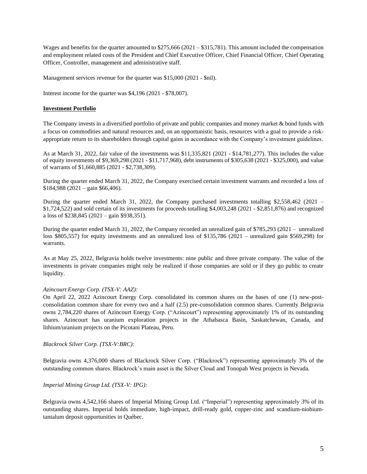Wages and benefits for the quarter amounted to \$275,666 (2021 – \$315,781). This amount included the compensation and employment related costs of the President and Chief Executive Officer, Chief Financial Officer, Chief Operating Officer, Controller, management and administrative staff.

Management services revenue for the quarter was \$15,000 (2021 - \$nil).

Interest income for the quarter was \$4,196 (2021 - \$78,007).

#### **Investment Portfolio**

The Company invests in a diversified portfolio of private and public companies and money market & bond funds with a focus on commodities and natural resources and, on an opportunistic basis, resources with a goal to provide a riskappropriate return to its shareholders through capital gains in accordance with the Company's investment guidelines.

As at March 31, 2022, fair value of the investments was \$11,335,821 (2021 - \$14,781,277). This includes the value of equity investments of \$9,369,298 (2021 - \$11,717,968), debt instruments of \$305,638 (2021 - \$325,000), and value of warrants of \$1,660,885 (2021 - \$2,738,309).

During the quarter ended March 31, 2022, the Company exercised certain investment warrants and recorded a loss of \$184,988 (2021 – gain \$66,406).

During the quarter ended March 31, 2022, the Company purchased investments totalling \$2,558,462 (2021 – \$1,724,522) and sold certain of its investments for proceeds totalling \$4,003,248 (2021 - \$2,851,876) and recognized a loss of \$238,845 (2021 – gain \$938,351).

During the quarter ended March 31, 2022, the Company recorded an unrealized gain of \$785,293 (2021 – unrealized loss \$805,557) for equity investments and an unrealized loss of \$135,786 (2021 – unrealized gain \$569,298) for warrants.

As at May 25, 2022, Belgravia holds twelve investments: nine public and three private company. The value of the investments in private companies might only be realized if those companies are sold or if they go public to create liquidity.

### *Azincourt Energy Corp. (TSX-V: AAZ):*

On April 22, 2022 Azincourt Energy Corp. consolidated its common shares on the bases of one (1) new-postconsolidation common share for every two and a half (2.5) pre-consolidation common shares. Currently Belgravia owns 2,784,220 shares of Azincourt Energy Corp. ("Azincourt") representing approximately 1% of its outstanding shares. Azincourt has uranium exploration projects in the Athabasca Basin, Saskatchewan, Canada, and lithium/uranium projects on the Picotani Plateau, Peru.

*Blackrock Silver Corp. (TSX-V:BRC):*

Belgravia owns 4,376,000 shares of Blackrock Silver Corp. ("Blackrock") representing approximately 3% of the outstanding common shares. Blackrock's main asset is the Silver Cloud and Tonopah West projects in Nevada.

### *Imperial Mining Group Ltd. (TSX-V: IPG):*

Belgravia owns 4,542,166 shares of Imperial Mining Group Ltd. ("Imperial") representing approximately 3% of its outstanding shares. Imperial holds immediate, high-impact, drill-ready gold, copper-zinc and scandium-niobiumtantalum deposit opportunities in Québec.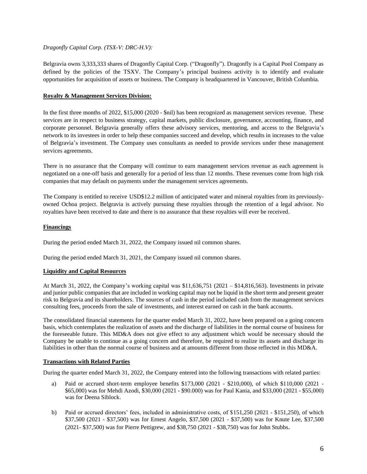# *Dragonfly Capital Corp. (TSX-V: DRC-H.V):*

Belgravia owns 3,333,333 shares of Dragonfly Capital Corp. ("Dragonfly"). Dragonfly is a Capital Pool Company as defined by the policies of the TSXV. The Company's principal business activity is to identify and evaluate opportunities for acquisition of assets or business. The Company is headquartered in Vancouver, British Columbia.

# **Royalty & Management Services Division:**

In the first three months of 2022, \$15,000 (2020 - \$nil) has been recognized as management services revenue. These services are in respect to business strategy, capital markets, public disclosure, governance, accounting, finance, and corporate personnel. Belgravia generally offers these advisory services, mentoring, and access to the Belgravia's network to its investees in order to help these companies succeed and develop, which results in increases to the value of Belgravia's investment. The Company uses consultants as needed to provide services under these management services agreements.

There is no assurance that the Company will continue to earn management services revenue as each agreement is negotiated on a one-off basis and generally for a period of less than 12 months. These revenues come from high risk companies that may default on payments under the management services agreements.

The Company is entitled to receive USD\$12.2 million of anticipated water and mineral royalties from its previouslyowned Ochoa project. Belgravia is actively pursuing these royalties through the retention of a legal advisor. No royalties have been received to date and there is no assurance that these royalties will ever be received.

# **Financings**

During the period ended March 31, 2022, the Company issued nil common shares.

During the period ended March 31, 2021, the Company issued nil common shares.

### **Liquidity and Capital Resources**

At March 31, 2022, the Company's working capital was \$11,636,751 (2021 – \$14,816,563). Investments in private and junior public companies that are included in working capital may not be liquid in the short term and present greater risk to Belgravia and its shareholders. The sources of cash in the period included cash from the management services consulting fees, proceeds from the sale of investments, and interest earned on cash in the bank accounts.

The consolidated financial statements for the quarter ended March 31, 2022, have been prepared on a going concern basis, which contemplates the realization of assets and the discharge of liabilities in the normal course of business for the foreseeable future. This MD&A does not give effect to any adjustment which would be necessary should the Company be unable to continue as a going concern and therefore, be required to realize its assets and discharge its liabilities in other than the normal course of business and at amounts different from those reflected in this MD&A.

### **Transactions with Related Parties**

During the quarter ended March 31, 2022, the Company entered into the following transactions with related parties:

- a) Paid or accrued short-term employee benefits \$173,000 (2021 \$210,000), of which \$110,000 (2021 \$65,000) was for Mehdi Azodi, \$30,000 (2021 - \$90.000) was for Paul Kania, and \$33,000 (2021 - \$55,000) was for Deena Siblock.
- b) Paid or accrued directors' fees, included in administrative costs, of \$151,250 (2021 \$151,250), of which \$37,500 (2021 - \$37,500) was for Ernest Angelo, \$37,500 (2021 - \$37,500) was for Knute Lee, \$37,500 (2021- \$37,500) was for Pierre Pettigrew, and \$38,750 (2021 - \$38,750) was for John Stubbs.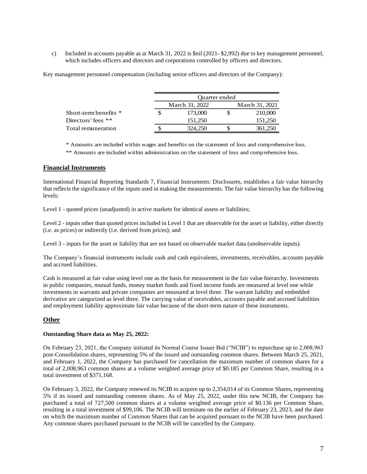c) Included in accounts payable as at March 31, 2022 is \$nil (2021- \$2,992) due to key management personnel, which includes officers and directors and corporations controlled by officers and directors.

Key management personnel compensation (including senior officers and directors of the Company):

|                         | Ouarter ended  |  |                |  |  |
|-------------------------|----------------|--|----------------|--|--|
|                         | March 31, 2022 |  | March 31, 2021 |  |  |
| Short-term benefits $*$ | 173,000        |  | 210,000        |  |  |
| Directors' fees $**$    | 151.250        |  | 151,250        |  |  |
| Total remuneration      | 324,250        |  | 361,250        |  |  |

\* Amounts are included within wages and benefits on the statement of loss and comprehensive loss.

\*\* Amounts are included within administration on the statement of loss and comprehensive loss.

# **Financial Instruments**

International Financial Reporting Standards 7, Financial Instruments: Disclosures, establishes a fair value hierarchy that reflects the significance of the inputs used in making the measurements. The fair value hierarchy has the following levels:

Level 1 - quoted prices (unadjusted) in active markets for identical assets or liabilities;

Level 2 - inputs other than quoted prices included in Level 1 that are observable for the asset or liability, either directly (i.e. as prices) or indirectly (i.e. derived from prices); and

Level 3 - inputs for the asset or liability that are not based on observable market data (unobservable inputs).

The Company's financial instruments include cash and cash equivalents, investments, receivables, accounts payable and accrued liabilities.

Cash is measured at fair value using level one as the basis for measurement in the fair value hierarchy. Investments in public companies, mutual funds, money market funds and fixed income funds are measured at level one while investments in warrants and private companies are measured at level three. The warrant liability and embedded derivative are categorized as level three. The carrying value of receivables, accounts payable and accrued liabilities and employment liability approximate fair value because of the short-term nature of these instruments.

# **Other**

### **Outstanding Share data as May 25, 2022:**

On February 23, 2021, the Company initiated its Normal Course Issuer Bid ("NCIB") to repurchase up to 2,008,963 post-Consolidation shares, representing 5% of the issued and outstanding common shares. Between March 25, 2021, and February 1, 2022, the Company has purchased for cancellation the maximum number of common shares for a total of 2,008,963 common shares at a volume weighted average price of \$0.185 per Common Share, resulting in a total investment of \$371,168.

On February 3, 2022, the Company renewed its NCIB to acquire up to 2,354,014 of its Common Shares, representing 5% if its issued and outstanding common shares. As of May 25, 2022, under this new NCIB, the Company has purchased a total of 727,500 common shares at a volume weighted average price of \$0.136 per Common Share, resulting in a total investment of \$99,106. The NCIB will terminate on the earlier of February 23, 2023, and the date on which the maximum number of Common Shares that can be acquired pursuant to the NCIB have been purchased. Any common shares purchased pursuant to the NCIB will be cancelled by the Company.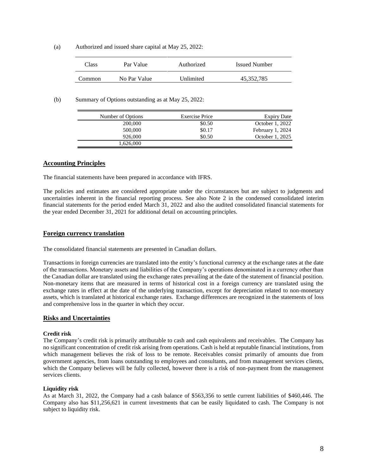(a) Authorized and issued share capital at May 25, 2022:

| Class  | Par Value    | Authorized | <b>Issued Number</b> |  |
|--------|--------------|------------|----------------------|--|
| Common | No Par Value | Unlimited  | 45.352.785           |  |

(b) Summary of Options outstanding as at May 25, 2022:

| Number of Options | <b>Exercise Price</b> | <b>Expiry Date</b> |
|-------------------|-----------------------|--------------------|
| 200,000           | \$0.50                | October 1, 2022    |
| 500,000           | \$0.17                | February 1, 2024   |
| 926,000           | \$0.50                | October 1, 2025    |
| 1,626,000         |                       |                    |

#### **Accounting Principles**

The financial statements have been prepared in accordance with IFRS.

The policies and estimates are considered appropriate under the circumstances but are subject to judgments and uncertainties inherent in the financial reporting process. See also Note 2 in the condensed consolidated interim financial statements for the period ended March 31, 2022 and also the audited consolidated financial statements for the year ended December 31, 2021 for additional detail on accounting principles.

#### **Foreign currency translation**

The consolidated financial statements are presented in Canadian dollars.

Transactions in foreign currencies are translated into the entity's functional currency at the exchange rates at the date of the transactions. Monetary assets and liabilities of the Company's operations denominated in a currency other than the Canadian dollar are translated using the exchange rates prevailing at the date of the statement of financial position. Non-monetary items that are measured in terms of historical cost in a foreign currency are translated using the exchange rates in effect at the date of the underlying transaction, except for depreciation related to non-monetary assets, which is translated at historical exchange rates. Exchange differences are recognized in the statements of loss and comprehensive loss in the quarter in which they occur.

#### **Risks and Uncertainties**

#### **Credit risk**

The Company's credit risk is primarily attributable to cash and cash equivalents and receivables. The Company has no significant concentration of credit risk arising from operations. Cash is held at reputable financial institutions, from which management believes the risk of loss to be remote. Receivables consist primarily of amounts due from government agencies, from loans outstanding to employees and consultants, and from management services clients, which the Company believes will be fully collected, however there is a risk of non-payment from the management services clients.

#### **Liquidity risk**

As at March 31, 2022, the Company had a cash balance of \$563,356 to settle current liabilities of \$460,446. The Company also has \$11,256,621 in current investments that can be easily liquidated to cash. The Company is not subject to liquidity risk.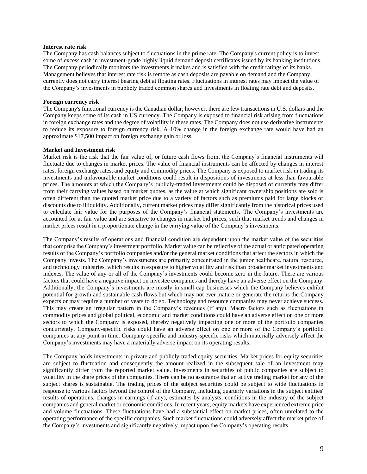#### **Interest rate risk**

The Company has cash balances subject to fluctuations in the prime rate. The Company's current policy is to invest some of excess cash in investment-grade highly liquid demand deposit certificates issued by its banking institutions. The Company periodically monitors the investments it makes and is satisfied with the credit ratings of its banks. Management believes that interest rate risk is remote as cash deposits are payable on demand and the Company currently does not carry interest bearing debt at floating rates. Fluctuations in interest rates may impact the value of the Company's investments in publicly traded common shares and investments in floating rate debt and deposits.

#### **Foreign currency risk**

The Company's functional currency is the Canadian dollar; however, there are few transactions in U.S. dollars and the Company keeps some of its cash in US currency. The Company is exposed to financial risk arising from fluctuations in foreign exchange rates and the degree of volatility in these rates. The Company does not use derivative instruments to reduce its exposure to foreign currency risk. A 10% change in the foreign exchange rate would have had an approximate \$17,500 impact on foreign exchange gain or loss.

#### **Market and Investment risk**

Market risk is the risk that the fair value of, or future cash flows from, the Company's financial instruments will fluctuate due to changes in market prices. The value of financial instruments can be affected by changes in interest rates, foreign exchange rates, and equity and commodity prices. The Company is exposed to market risk in trading its investments and unfavourable market conditions could result in dispositions of investments at less than favourable prices. The amounts at which the Company's publicly-traded investments could be disposed of currently may differ from their carrying values based on market quotes, as the value at which significant ownership positions are sold is often different than the quoted market price due to a variety of factors such as premiums paid for large blocks or discounts due to illiquidity. Additionally, current market prices may differ significantly from the historical prices used to calculate fair value for the purposes of the Company's financial statements. The Company's investments are accounted for at fair value and are sensitive to changes in market bid prices, such that market trends and changes in market prices result in a proportionate change in the carrying value of the Company's investments.

The Company's results of operations and financial condition are dependent upon the market value of the securities that comprise the Company's investment portfolio. Market value can be reflective of the actual or anticipated operating results of the Company's portfolio companies and/or the general market conditions that affect the sectors in which the Company invests. The Company's investments are primarily concentrated in the junior healthcare, natural resource, and technology industries, which results in exposure to higher volatility and risk than broader market investments and indexes. The value of any or all of the Company's investments could become zero in the future. There are various factors that could have a negative impact on investee companies and thereby have an adverse effect on the Company. Additionally, the Company's investments are mostly in small-cap businesses which the Company believes exhibit potential for growth and sustainable cash flows but which may not ever mature or generate the returns the Company expects or may require a number of years to do so. Technology and resource companies may never achieve success. This may create an irregular pattern in the Company's revenues (if any). Macro factors such as fluctuations in commodity prices and global political, economic and market conditions could have an adverse effect on one or more sectors to which the Company is exposed, thereby negatively impacting one or more of the portfolio companies concurrently. Company-specific risks could have an adverse effect on one or more of the Company's portfolio companies at any point in time. Company-specific and industry-specific risks which materially adversely affect the Company's investments may have a materially adverse impact on its operating results.

The Company holds investments in private and publicly-traded equity securities. Market prices for equity securities are subject to fluctuation and consequently the amount realized in the subsequent sale of an investment may significantly differ from the reported market value. Investments in securities of public companies are subject to volatility in the share prices of the companies. There can be no assurance that an active trading market for any of the subject shares is sustainable. The trading prices of the subject securities could be subject to wide fluctuations in response to various factors beyond the control of the Company, including quarterly variations in the subject entities' results of operations, changes in earnings (if any), estimates by analysts, conditions in the industry of the subject companies and general market or economic conditions. In recent years, equity markets have experienced extreme price and volume fluctuations. These fluctuations have had a substantial effect on market prices, often unrelated to the operating performance of the specific companies. Such market fluctuations could adversely affect the market price of the Company's investments and significantly negatively impact upon the Company's operating results.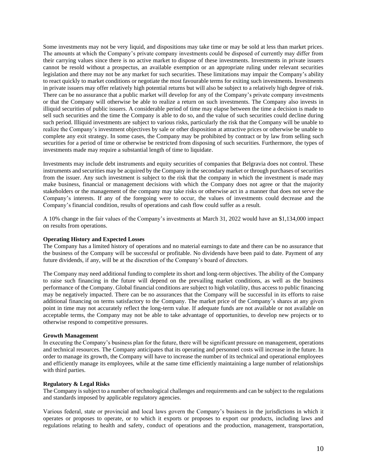Some investments may not be very liquid, and dispositions may take time or may be sold at less than market prices. The amounts at which the Company's private company investments could be disposed of currently may differ from their carrying values since there is no active market to dispose of these investments. Investments in private issuers cannot be resold without a prospectus, an available exemption or an appropriate ruling under relevant securities legislation and there may not be any market for such securities. These limitations may impair the Company's ability to react quickly to market conditions or negotiate the most favourable terms for exiting such investments. Investments in private issuers may offer relatively high potential returns but will also be subject to a relatively high degree of risk. There can be no assurance that a public market will develop for any of the Company's private company investments or that the Company will otherwise be able to realize a return on such investments. The Company also invests in illiquid securities of public issuers. A considerable period of time may elapse between the time a decision is made to sell such securities and the time the Company is able to do so, and the value of such securities could decline during such period. Illiquid investments are subject to various risks, particularly the risk that the Company will be unable to realize the Company's investment objectives by sale or other disposition at attractive prices or otherwise be unable to complete any exit strategy. In some cases, the Company may be prohibited by contract or by law from selling such securities for a period of time or otherwise be restricted from disposing of such securities. Furthermore, the types of investments made may require a substantial length of time to liquidate.

Investments may include debt instruments and equity securities of companies that Belgravia does not control. These instruments and securities may be acquired by the Company in the secondary market or through purchases of securities from the issuer. Any such investment is subject to the risk that the company in which the investment is made may make business, financial or management decisions with which the Company does not agree or that the majority stakeholders or the management of the company may take risks or otherwise act in a manner that does not serve the Company's interests. If any of the foregoing were to occur, the values of investments could decrease and the Company's financial condition, results of operations and cash flow could suffer as a result.

A 10% change in the fair values of the Company's investments at March 31, 2022 would have an \$1,134,000 impact on results from operations.

#### **Operating History and Expected Losses**

The Company has a limited history of operations and no material earnings to date and there can be no assurance that the business of the Company will be successful or profitable. No dividends have been paid to date. Payment of any future dividends, if any, will be at the discretion of the Company's board of directors.

The Company may need additional funding to complete its short and long-term objectives. The ability of the Company to raise such financing in the future will depend on the prevailing market conditions, as well as the business performance of the Company. Global financial conditions are subject to high volatility, thus access to public financing may be negatively impacted. There can be no assurances that the Company will be successful in its efforts to raise additional financing on terms satisfactory to the Company. The market price of the Company's shares at any given point in time may not accurately reflect the long-term value. If adequate funds are not available or not available on acceptable terms, the Company may not be able to take advantage of opportunities, to develop new projects or to otherwise respond to competitive pressures.

#### **Growth Management**

In executing the Company's business plan for the future, there will be significant pressure on management, operations and technical resources. The Company anticipates that its operating and personnel costs will increase in the future. In order to manage its growth, the Company will have to increase the number of its technical and operational employees and efficiently manage its employees, while at the same time efficiently maintaining a large number of relationships with third parties.

#### **Regulatory & Legal Risks**

The Company is subject to a number of technological challenges and requirements and can be subject to the regulations and standards imposed by applicable regulatory agencies.

Various federal, state or provincial and local laws govern the Company's business in the jurisdictions in which it operates or proposes to operate, or to which it exports or proposes to export our products, including laws and regulations relating to health and safety, conduct of operations and the production, management, transportation,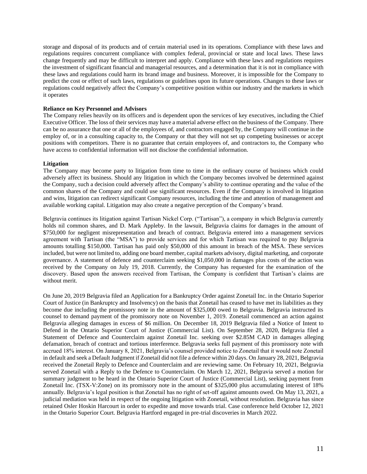storage and disposal of its products and of certain material used in its operations. Compliance with these laws and regulations requires concurrent compliance with complex federal, provincial or state and local laws. These laws change frequently and may be difficult to interpret and apply. Compliance with these laws and regulations requires the investment of significant financial and managerial resources, and a determination that it is not in compliance with these laws and regulations could harm its brand image and business. Moreover, it is impossible for the Company to predict the cost or effect of such laws, regulations or guidelines upon its future operations. Changes to these laws or regulations could negatively affect the Company's competitive position within our industry and the markets in which it operates

#### **Reliance on Key Personnel and Advisors**

The Company relies heavily on its officers and is dependent upon the services of key executives, including the Chief Executive Officer. The loss of their services may have a material adverse effect on the business of the Company. There can be no assurance that one or all of the employees of, and contractors engaged by, the Company will continue in the employ of, or in a consulting capacity to, the Company or that they will not set up competing businesses or accept positions with competitors. There is no guarantee that certain employees of, and contractors to, the Company who have access to confidential information will not disclose the confidential information.

#### **Litigation**

The Company may become party to litigation from time to time in the ordinary course of business which could adversely affect its business. Should any litigation in which the Company becomes involved be determined against the Company, such a decision could adversely affect the Company's ability to continue operating and the value of the common shares of the Company and could use significant resources. Even if the Company is involved in litigation and wins, litigation can redirect significant Company resources, including the time and attention of management and available working capital. Litigation may also create a negative perception of the Company's brand.

Belgravia continues its litigation against Tartisan Nickel Corp. ("Tartisan"), a company in which Belgravia currently holds nil common shares, and D. Mark Appleby. In the lawsuit, Belgravia claims for damages in the amount of \$750,000 for negligent misrepresentation and breach of contract. Belgravia entered into a management services agreement with Tartisan (the "MSA") to provide services and for which Tartisan was required to pay Belgravia amounts totalling \$150,000. Tartisan has paid only \$50,000 of this amount in breach of the MSA. These services included, but were not limited to, adding one board member, capital markets advisory, digital marketing, and corporate governance. A statement of defence and counterclaim seeking \$1,050,000 in damages plus costs of the action was received by the Company on July 19, 2018. Currently, the Company has requested for the examination of the discovery. Based upon the answers received from Tartisan, the Company is confident that Tartisan's claims are without merit.

On June 20, 2019 Belgravia filed an Application for a Bankruptcy Order against Zonetail Inc. in the Ontario Superior Court of Justice (in Bankruptcy and Insolvency) on the basis that Zonetail has ceased to have met its liabilities as they become due including the promissory note in the amount of \$325,000 owed to Belgravia. Belgravia instructed its counsel to demand payment of the promissory note on November 1, 2019. Zonetail commenced an action against Belgravia alleging damages in excess of \$6 million. On December 18, 2019 Belgravia filed a Notice of Intent to Defend in the Ontario Superior Court of Justice (Commercial List). On September 28, 2020, Belgravia filed a Statement of Defence and Counterclaim against Zonetail Inc. seeking over \$2.85M CAD in damages alleging defamation, breach of contract and tortious interference. Belgravia seeks full payment of this promissory note with accrued 18% interest. On January 8, 2021, Belgravia's counsel provided notice to Zonetail that it would note Zonetail in default and seek a Default Judgment if Zonetail did not file a defence within 20 days. On January 28, 2021, Belgravia received the Zonetail Reply to Defence and Counterclaim and are reviewing same. On February 10, 2021, Belgravia served Zonetail with a Reply to the Defence to Counterclaim. On March 12, 2021, Belgravia served a motion for summary judgment to be heard in the Ontario Superior Court of Justice (Commercial List), seeking payment from Zonetail Inc. (TSX-V:Zone) on its promissory note in the amount of \$325,000 plus accumulating interest of 18% annually. Belgravia's legal position is that Zonetail has no right of set-off against amounts owed. On May 13, 2021, a judicial mediation was held in respect of the ongoing litigation with Zonetail, without resolution. Belgravia has since retained Osler Hoskin Harcourt in order to expedite and move towards trial. Case conference held October 12, 2021 in the Ontario Superior Court. Belgravia Hartford engaged in pre-trial discoveries in March 2022.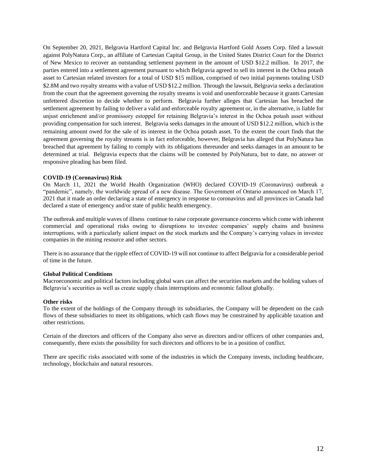On September 20, 2021, Belgravia Hartford Capital Inc. and Belgravia Hartford Gold Assets Corp. filed a lawsuit against PolyNatura Corp., an affiliate of Cartesian Capital Group, in the United States District Court for the District of New Mexico to recover an outstanding settlement payment in the amount of USD \$12.2 million. In 2017, the parties entered into a settlement agreement pursuant to which Belgravia agreed to sell its interest in the Ochoa potash asset to Cartesian related investors for a total of USD \$15 million, comprised of two initial payments totaling USD \$2.8M and two royalty streams with a value of USD \$12.2 million. Through the lawsuit, Belgravia seeks a declaration from the court that the agreement governing the royalty streams is void and unenforceable because it grants Cartesian unfettered discretion to decide whether to perform. Belgravia further alleges that Cartesian has breached the settlement agreement by failing to deliver a valid and enforceable royalty agreement or, in the alternative, is liable for unjust enrichment and/or promissory estoppel for retaining Belgravia's interest in the Ochoa potash asset without providing compensation for such interest. Belgravia seeks damages in the amount of USD \$12.2 million, which is the remaining amount owed for the sale of its interest in the Ochoa potash asset. To the extent the court finds that the agreement governing the royalty streams is in fact enforceable, however, Belgravia has alleged that PolyNatura has breached that agreement by failing to comply with its obligations thereunder and seeks damages in an amount to be determined at trial. Belgravia expects that the claims will be contested by PolyNatura, but to date, no answer or responsive pleading has been filed.

#### **COVID-19 (Coronavirus) Risk**

On March 11, 2021 the World Health Organization (WHO) declared COVID-19 (Coronavirus) outbreak a "pandemic", namely, the worldwide spread of a new disease. The Government of Ontario announced on March 17, 2021 that it made an order declaring a state of emergency in response to coronavirus and all provinces in Canada had declared a state of emergency and/or state of public health emergency.

The outbreak and multiple waves of illness continue to raise corporate governance concerns which come with inherent commercial and operational risks owing to disruptions to investee companies' supply chains and business interruptions, with a particularly salient impact on the stock markets and the Company's carrying values in investee companies in the mining resource and other sectors.

There is no assurance that the ripple effect of COVID-19 will not continue to affect Belgravia for a considerable period of time in the future.

#### **Global Political Conditions**

Macroeconomic and political factors including global wars can affect the securities markets and the holding values of Belgravia's securities as well as create supply chain interruptions and economic fallout globally.

#### **Other risks**

To the extent of the holdings of the Company through its subsidiaries, the Company will be dependent on the cash flows of these subsidiaries to meet its obligations, which cash flows may be constrained by applicable taxation and other restrictions.

Certain of the directors and officers of the Company also serve as directors and/or officers of other companies and, consequently, there exists the possibility for such directors and officers to be in a position of conflict.

There are specific risks associated with some of the industries in which the Company invests, including healthcare, technology, blockchain and natural resources.